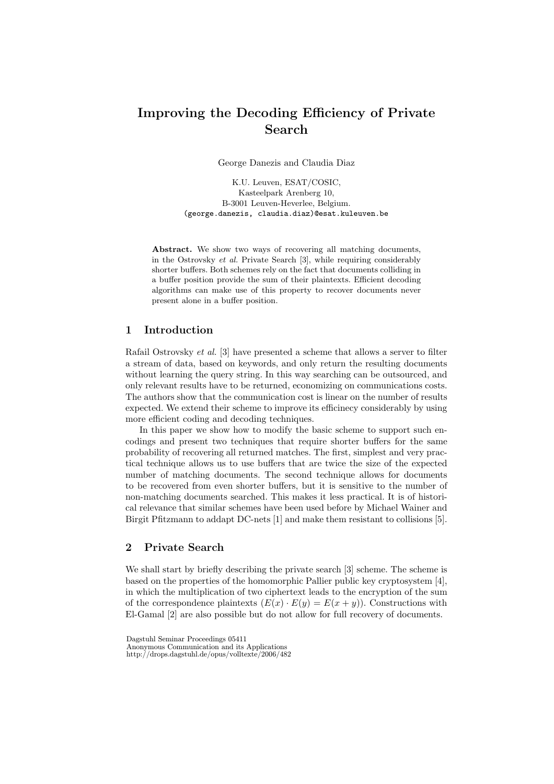# Improving the Decoding Efficiency of Private Search

George Danezis and Claudia Diaz

K.U. Leuven, ESAT/COSIC, Kasteelpark Arenberg 10, B-3001 Leuven-Heverlee, Belgium. (george.danezis, claudia.diaz)@esat.kuleuven.be

Abstract. We show two ways of recovering all matching documents, in the Ostrovsky et al. Private Search [3], while requiring considerably shorter buffers. Both schemes rely on the fact that documents colliding in a buffer position provide the sum of their plaintexts. Efficient decoding algorithms can make use of this property to recover documents never present alone in a buffer position.

# 1 Introduction

Rafail Ostrovsky et al. [3] have presented a scheme that allows a server to filter a stream of data, based on keywords, and only return the resulting documents without learning the query string. In this way searching can be outsourced, and only relevant results have to be returned, economizing on communications costs. The authors show that the communication cost is linear on the number of results expected. We extend their scheme to improve its efficinecy considerably by using more efficient coding and decoding techniques.

In this paper we show how to modify the basic scheme to support such encodings and present two techniques that require shorter buffers for the same probability of recovering all returned matches. The first, simplest and very practical technique allows us to use buffers that are twice the size of the expected number of matching documents. The second technique allows for documents to be recovered from even shorter buffers, but it is sensitive to the number of non-matching documents searched. This makes it less practical. It is of historical relevance that similar schemes have been used before by Michael Wainer and Birgit Pfitzmann to addapt DC-nets [1] and make them resistant to collisions [5].

# 2 Private Search

We shall start by briefly describing the private search [3] scheme. The scheme is based on the properties of the homomorphic Pallier public key cryptosystem [4], in which the multiplication of two ciphertext leads to the encryption of the sum of the correspondence plaintexts  $(E(x) \cdot E(y) = E(x + y))$ . Constructions with El-Gamal [2] are also possible but do not allow for full recovery of documents.

Dagstuhl Seminar Proceedings 05411

Anonymous Communication and its Applications

http://drops.dagstuhl.de/opus/volltexte/2006/482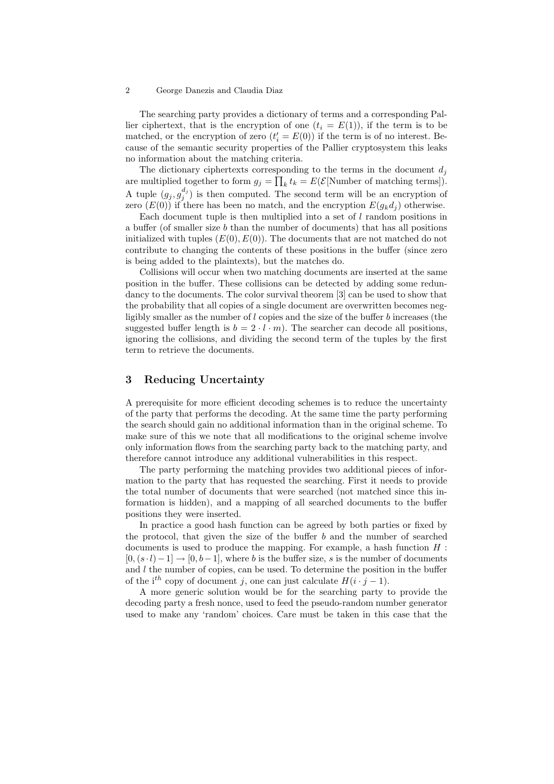The searching party provides a dictionary of terms and a corresponding Pallier ciphertext, that is the encryption of one  $(t_i = E(1))$ , if the term is to be matched, or the encryption of zero  $(t'_{i} = E(0))$  if the term is of no interest. Because of the semantic security properties of the Pallier cryptosystem this leaks no information about the matching criteria.

The dictionary ciphertexts corresponding to the terms in the document  $d_i$ are multiplied together to form  $g_j = \prod_k t_k = E(E[\text{Number of matching terms}]).$ A tuple  $(g_j, g_j^{d_j})$  is then computed. The second term will be an encryption of zero  $(E(0))$  if there has been no match, and the encryption  $E(g_k d_i)$  otherwise.

Each document tuple is then multiplied into a set of l random positions in a buffer (of smaller size b than the number of documents) that has all positions initialized with tuples  $(E(0), E(0))$ . The documents that are not matched do not contribute to changing the contents of these positions in the buffer (since zero is being added to the plaintexts), but the matches do.

Collisions will occur when two matching documents are inserted at the same position in the buffer. These collisions can be detected by adding some redundancy to the documents. The color survival theorem [3] can be used to show that the probability that all copies of a single document are overwritten becomes negligibly smaller as the number of  $l$  copies and the size of the buffer  $b$  increases (the suggested buffer length is  $b = 2 \cdot l \cdot m$ . The searcher can decode all positions, ignoring the collisions, and dividing the second term of the tuples by the first term to retrieve the documents.

## 3 Reducing Uncertainty

A prerequisite for more efficient decoding schemes is to reduce the uncertainty of the party that performs the decoding. At the same time the party performing the search should gain no additional information than in the original scheme. To make sure of this we note that all modifications to the original scheme involve only information flows from the searching party back to the matching party, and therefore cannot introduce any additional vulnerabilities in this respect.

The party performing the matching provides two additional pieces of information to the party that has requested the searching. First it needs to provide the total number of documents that were searched (not matched since this information is hidden), and a mapping of all searched documents to the buffer positions they were inserted.

In practice a good hash function can be agreed by both parties or fixed by the protocol, that given the size of the buffer  $b$  and the number of searched documents is used to produce the mapping. For example, a hash function  $H$ :  $[0, (s \cdot l)-1] \rightarrow [0, b-1]$ , where b is the buffer size, s is the number of documents and  $l$  the number of copies, can be used. To determine the position in the buffer of the i<sup>th</sup> copy of document j, one can just calculate  $H(i \cdot j - 1)$ .

A more generic solution would be for the searching party to provide the decoding party a fresh nonce, used to feed the pseudo-random number generator used to make any 'random' choices. Care must be taken in this case that the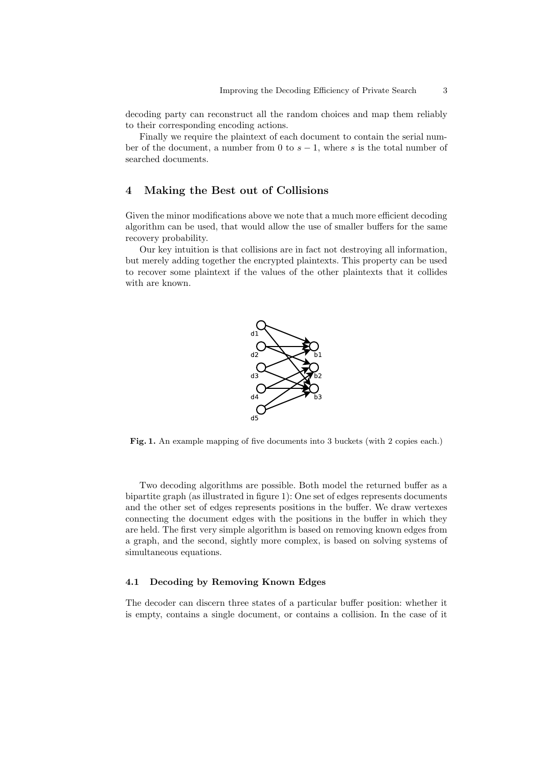decoding party can reconstruct all the random choices and map them reliably to their corresponding encoding actions.

Finally we require the plaintext of each document to contain the serial number of the document, a number from 0 to  $s - 1$ , where s is the total number of searched documents.

# 4 Making the Best out of Collisions

Given the minor modifications above we note that a much more efficient decoding algorithm can be used, that would allow the use of smaller buffers for the same recovery probability.

Our key intuition is that collisions are in fact not destroying all information, but merely adding together the encrypted plaintexts. This property can be used to recover some plaintext if the values of the other plaintexts that it collides with are known.



Fig. 1. An example mapping of five documents into 3 buckets (with 2 copies each.)

Two decoding algorithms are possible. Both model the returned buffer as a bipartite graph (as illustrated in figure 1): One set of edges represents documents and the other set of edges represents positions in the buffer. We draw vertexes connecting the document edges with the positions in the buffer in which they are held. The first very simple algorithm is based on removing known edges from a graph, and the second, sightly more complex, is based on solving systems of simultaneous equations.

#### 4.1 Decoding by Removing Known Edges

The decoder can discern three states of a particular buffer position: whether it is empty, contains a single document, or contains a collision. In the case of it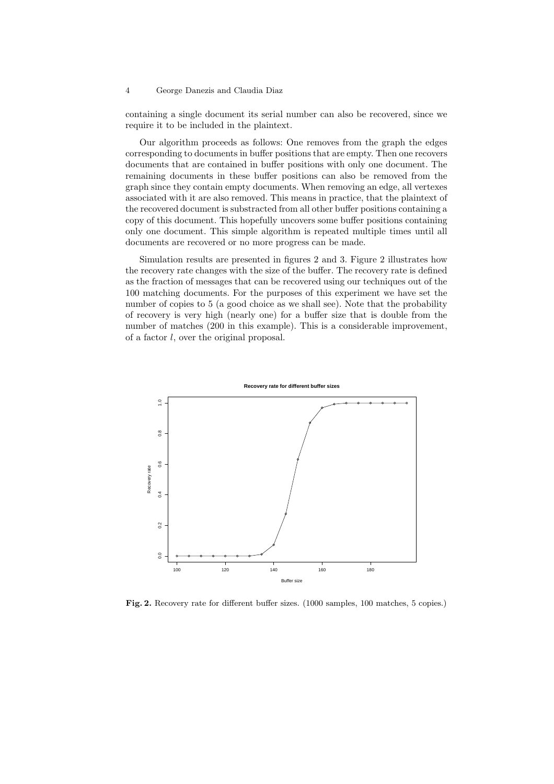containing a single document its serial number can also be recovered, since we require it to be included in the plaintext.

Our algorithm proceeds as follows: One removes from the graph the edges corresponding to documents in buffer positions that are empty. Then one recovers documents that are contained in buffer positions with only one document. The remaining documents in these buffer positions can also be removed from the graph since they contain empty documents. When removing an edge, all vertexes associated with it are also removed. This means in practice, that the plaintext of the recovered document is substracted from all other buffer positions containing a copy of this document. This hopefully uncovers some buffer positions containing only one document. This simple algorithm is repeated multiple times until all documents are recovered or no more progress can be made.

Simulation results are presented in figures 2 and 3. Figure 2 illustrates how the recovery rate changes with the size of the buffer. The recovery rate is defined as the fraction of messages that can be recovered using our techniques out of the 100 matching documents. For the purposes of this experiment we have set the number of copies to 5 (a good choice as we shall see). Note that the probability of recovery is very high (nearly one) for a buffer size that is double from the number of matches (200 in this example). This is a considerable improvement, of a factor l, over the original proposal.



Fig. 2. Recovery rate for different buffer sizes. (1000 samples, 100 matches, 5 copies.)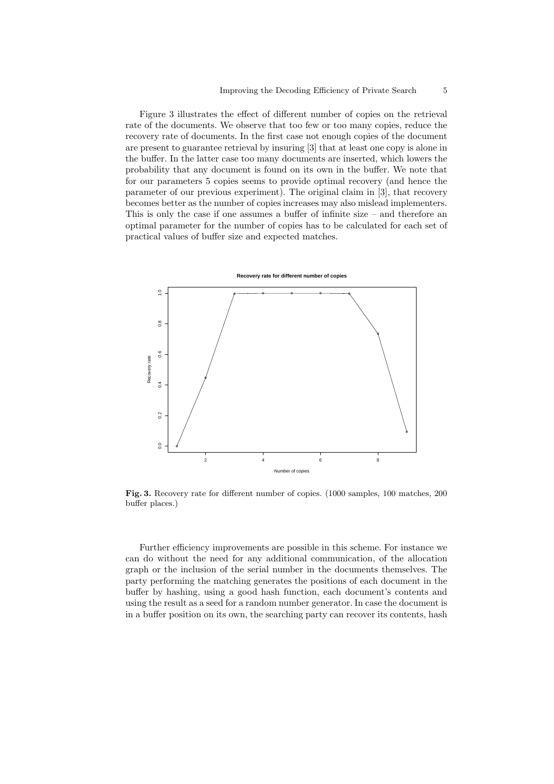Figure 3 illustrates the effect of different number of copies on the retrieval rate of the documents. We observe that too few or too many copies, reduce the recovery rate of documents. In the first case not enough copies of the document are present to guarantee retrieval by insuring [3] that at least one copy is alone in the buffer. In the latter case too many documents are inserted, which lowers the probability that any document is found on its own in the buffer. We note that for our parameters 5 copies seems to provide optimal recovery (and hence the parameter of our previous experiment). The original claim in [3], that recovery becomes better as the number of copies increases may also mislead implementers. This is only the case if one assumes a buffer of infinite size – and therefore an optimal parameter for the number of copies has to be calculated for each set of practical values of buffer size and expected matches.



Fig. 3. Recovery rate for different number of copies. (1000 samples, 100 matches, 200 buffer places.)

Further efficiency improvements are possible in this scheme. For instance we can do without the need for any additional communication, of the allocation graph or the inclusion of the serial number in the documents themselves. The party performing the matching generates the positions of each document in the buffer by hashing, using a good hash function, each document's contents and using the result as a seed for a random number generator. In case the document is in a buffer position on its own, the searching party can recover its contents, hash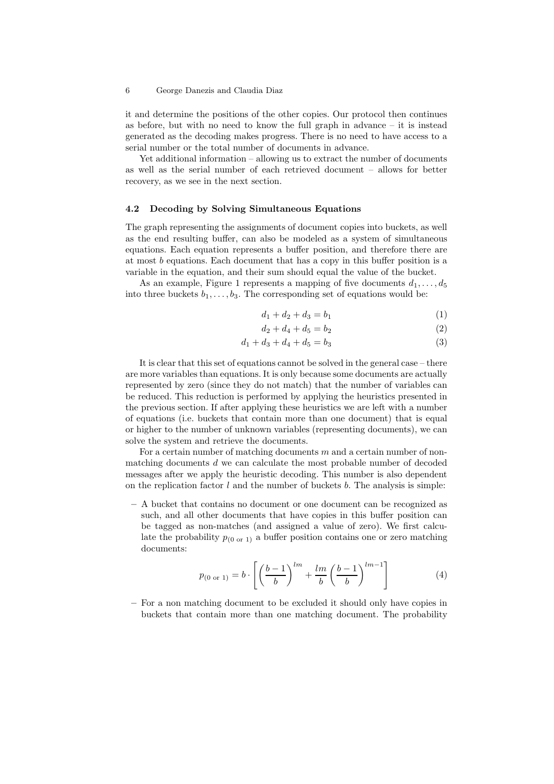it and determine the positions of the other copies. Our protocol then continues as before, but with no need to know the full graph in advance  $-$  it is instead generated as the decoding makes progress. There is no need to have access to a serial number or the total number of documents in advance.

Yet additional information – allowing us to extract the number of documents as well as the serial number of each retrieved document – allows for better recovery, as we see in the next section.

### 4.2 Decoding by Solving Simultaneous Equations

The graph representing the assignments of document copies into buckets, as well as the end resulting buffer, can also be modeled as a system of simultaneous equations. Each equation represents a buffer position, and therefore there are at most b equations. Each document that has a copy in this buffer position is a variable in the equation, and their sum should equal the value of the bucket.

As an example, Figure 1 represents a mapping of five documents  $d_1, \ldots, d_5$ into three buckets  $b_1, \ldots, b_3$ . The corresponding set of equations would be:

$$
d_1 + d_2 + d_3 = b_1 \tag{1}
$$

$$
d_2 + d_4 + d_5 = b_2 \tag{2}
$$

$$
d_1 + d_3 + d_4 + d_5 = b_3 \tag{3}
$$

It is clear that this set of equations cannot be solved in the general case – there are more variables than equations. It is only because some documents are actually represented by zero (since they do not match) that the number of variables can be reduced. This reduction is performed by applying the heuristics presented in the previous section. If after applying these heuristics we are left with a number of equations (i.e. buckets that contain more than one document) that is equal or higher to the number of unknown variables (representing documents), we can solve the system and retrieve the documents.

For a certain number of matching documents m and a certain number of nonmatching documents  $d$  we can calculate the most probable number of decoded messages after we apply the heuristic decoding. This number is also dependent on the replication factor  $l$  and the number of buckets  $b$ . The analysis is simple:

– A bucket that contains no document or one document can be recognized as such, and all other documents that have copies in this buffer position can be tagged as non-matches (and assigned a value of zero). We first calculate the probability  $p_{(0 \text{ or } 1)}$  a buffer position contains one or zero matching documents:

$$
p_{(0 \text{ or } 1)} = b \cdot \left[ \left( \frac{b-1}{b} \right)^{lm} + \frac{lm}{b} \left( \frac{b-1}{b} \right)^{lm-1} \right] \tag{4}
$$

– For a non matching document to be excluded it should only have copies in buckets that contain more than one matching document. The probability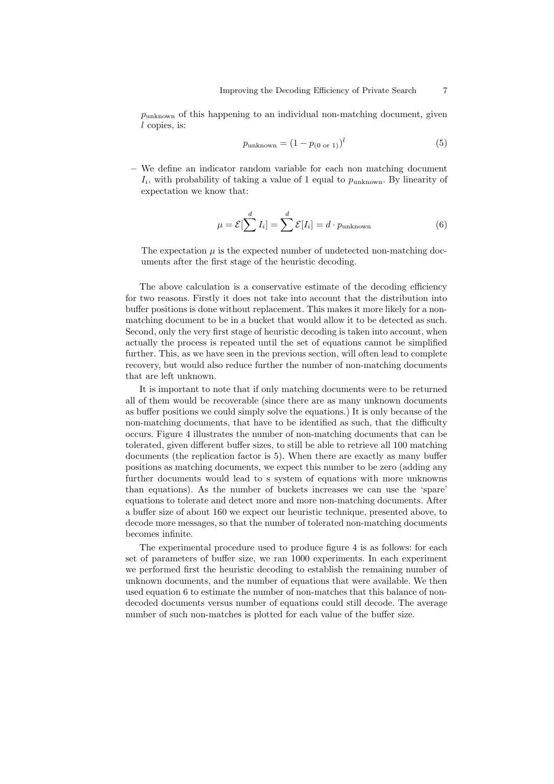$p_{\text{unknown}}$  of this happening to an individual non-matching document, given l copies, is:

$$
p_{\text{unknown}} = (1 - p_{(0 \text{ or } 1)})^l \tag{5}
$$

– We define an indicator random variable for each non matching document  $I_i$ , with probability of taking a value of 1 equal to  $p_{\text{unknown}}$ . By linearity of expectation we know that:

$$
\mu = \mathcal{E}[\sum^{d} I_i] = \sum^{d} \mathcal{E}[I_i] = d \cdot p_{\text{unknown}}
$$
\n(6)

The expectation  $\mu$  is the expected number of undetected non-matching documents after the first stage of the heuristic decoding.

The above calculation is a conservative estimate of the decoding efficiency for two reasons. Firstly it does not take into account that the distribution into buffer positions is done without replacement. This makes it more likely for a nonmatching document to be in a bucket that would allow it to be detected as such. Second, only the very first stage of heuristic decoding is taken into account, when actually the process is repeated until the set of equations cannot be simplified further. This, as we have seen in the previous section, will often lead to complete recovery, but would also reduce further the number of non-matching documents that are left unknown.

It is important to note that if only matching documents were to be returned all of them would be recoverable (since there are as many unknown documents as buffer positions we could simply solve the equations.) It is only because of the non-matching documents, that have to be identified as such, that the difficulty occurs. Figure 4 illustrates the number of non-matching documents that can be tolerated, given different buffer sizes, to still be able to retrieve all 100 matching documents (the replication factor is 5). When there are exactly as many buffer positions as matching documents, we expect this number to be zero (adding any further documents would lead to s system of equations with more unknowns than equations). As the number of buckets increases we can use the 'spare' equations to tolerate and detect more and more non-matching documents. After a buffer size of about 160 we expect our heuristic technique, presented above, to decode more messages, so that the number of tolerated non-matching documents becomes infinite.

The experimental procedure used to produce figure 4 is as follows: for each set of parameters of buffer size, we ran 1000 experiments. In each experiment we performed first the heuristic decoding to establish the remaining number of unknown documents, and the number of equations that were available. We then used equation 6 to estimate the number of non-matches that this balance of nondecoded documents versus number of equations could still decode. The average number of such non-matches is plotted for each value of the buffer size.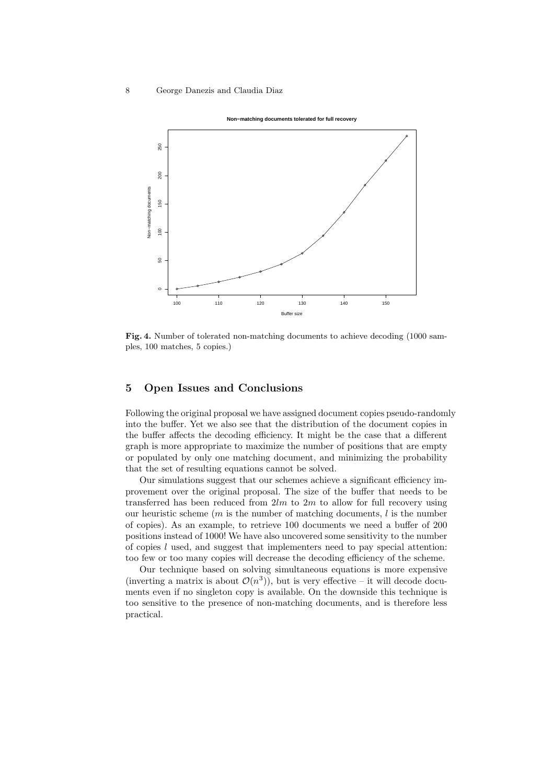

Fig. 4. Number of tolerated non-matching documents to achieve decoding (1000 samples, 100 matches, 5 copies.)

## 5 Open Issues and Conclusions

Following the original proposal we have assigned document copies pseudo-randomly into the buffer. Yet we also see that the distribution of the document copies in the buffer affects the decoding efficiency. It might be the case that a different graph is more appropriate to maximize the number of positions that are empty or populated by only one matching document, and minimizing the probability that the set of resulting equations cannot be solved.

Our simulations suggest that our schemes achieve a significant efficiency improvement over the original proposal. The size of the buffer that needs to be transferred has been reduced from  $2lm$  to  $2m$  to allow for full recovery using our heuristic scheme  $(m \text{ is the number of matching documents}, l \text{ is the number})$ of copies). As an example, to retrieve 100 documents we need a buffer of 200 positions instead of 1000! We have also uncovered some sensitivity to the number of copies l used, and suggest that implementers need to pay special attention: too few or too many copies will decrease the decoding efficiency of the scheme.

Our technique based on solving simultaneous equations is more expensive (inverting a matrix is about  $\mathcal{O}(n^3)$ ), but is very effective – it will decode documents even if no singleton copy is available. On the downside this technique is too sensitive to the presence of non-matching documents, and is therefore less practical.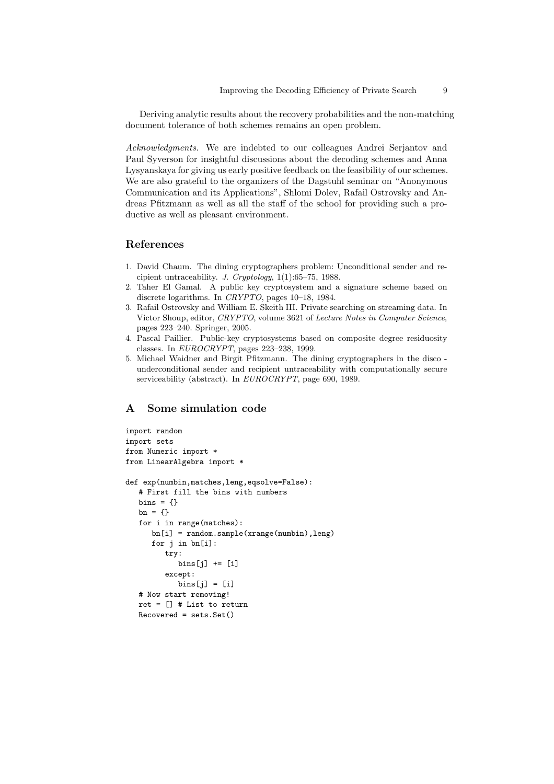Deriving analytic results about the recovery probabilities and the non-matching document tolerance of both schemes remains an open problem.

Acknowledgments. We are indebted to our colleagues Andrei Serjantov and Paul Syverson for insightful discussions about the decoding schemes and Anna Lysyanskaya for giving us early positive feedback on the feasibility of our schemes. We are also grateful to the organizers of the Dagstuhl seminar on "Anonymous Communication and its Applications", Shlomi Dolev, Rafail Ostrovsky and Andreas Pfitzmann as well as all the staff of the school for providing such a productive as well as pleasant environment.

# References

- 1. David Chaum. The dining cryptographers problem: Unconditional sender and recipient untraceability. J. Cryptology,  $1(1):65-75$ , 1988.
- 2. Taher El Gamal. A public key cryptosystem and a signature scheme based on discrete logarithms. In CRYPTO, pages 10–18, 1984.
- 3. Rafail Ostrovsky and William E. Skeith III. Private searching on streaming data. In Victor Shoup, editor, CRYPTO, volume 3621 of Lecture Notes in Computer Science, pages 223–240. Springer, 2005.
- 4. Pascal Paillier. Public-key cryptosystems based on composite degree residuosity classes. In EUROCRYPT, pages 223–238, 1999.
- 5. Michael Waidner and Birgit Pfitzmann. The dining cryptographers in the disco underconditional sender and recipient untraceability with computationally secure serviceability (abstract). In EUROCRYPT, page 690, 1989.

# A Some simulation code

```
import random
import sets
from Numeric import *
from LinearAlgebra import *
def exp(numbin,matches,leng,eqsolve=False):
   # First fill the bins with numbers
   bins = \{\}bn = \{\}for i in range(matches):
      bn[i] = random.shape(xrange(numbin),leng)for j in bn[i]:
         try:
            bins[j] += [i]except:
            bins[j] = [i]# Now start removing!
   ret = [] # List to return
   Recovered = sets.Set()
```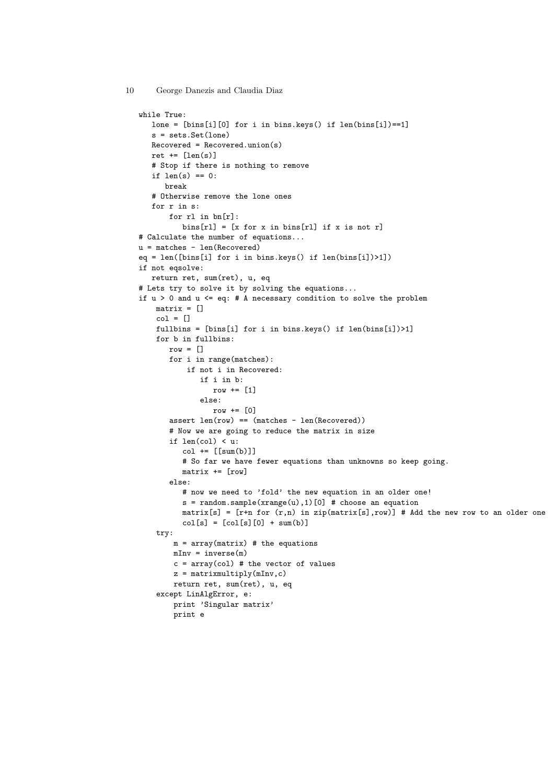```
while True:
  lone = [bins[i][0] for i in bins.keys() if len(bins[i])==1]
  s = sets.Set(lone)
  Recovered = Recovered.union(s)
  ret += \lceil len(s) \rceil# Stop if there is nothing to remove
  if len(s) == 0:
      break
   # Otherwise remove the lone ones
  for r in s:
       for rl in bn[r]:
         bins[r1] = [x for x in bins[r1] if x is not r]# Calculate the number of equations...
u = matches - len(Recovered)
eq = len([bins[i] for i in bins.keys() if len(bins[i])>1])
if not eqsolve:
  return ret, sum(ret), u, eq
# Lets try to solve it by solving the equations...
if u > 0 and u \leq eq: # A necessary condition to solve the problem
   matrix = []col = []fullbins = [bins[i] for i in bins.keys() if len(bins[i])>1]
   for b in fullbins:
       row = []for i in range(matches):
           if not i in Recovered:
              if i in b:
                 row += [1]
              else:
                 row += [0]assert len(row) == (matches - len(Recovered))# Now we are going to reduce the matrix in size
       if len(col) < u:
         col += [sum(b)]# So far we have fewer equations than unknowns so keep going.
         matrix += [row]
       else:
          # now we need to 'fold' the new equation in an older one!
          s = random.shape(xrange(u), 1) [0] # choose an equationmatrix[s] = [r+n for (r,n) in zip(matrix[s],row)] # Add the new row to an older one
         col[s] = [col[s][0] + sum(b)]try:
        m = array(matrix) # the equations
       mInv = inverse(m)c = array(col) # the vector of values
        z = matrixmultiply(mInv,c)
       return ret, sum(ret), u, eq
    except LinAlgError, e:
       print 'Singular matrix'
       print e
```